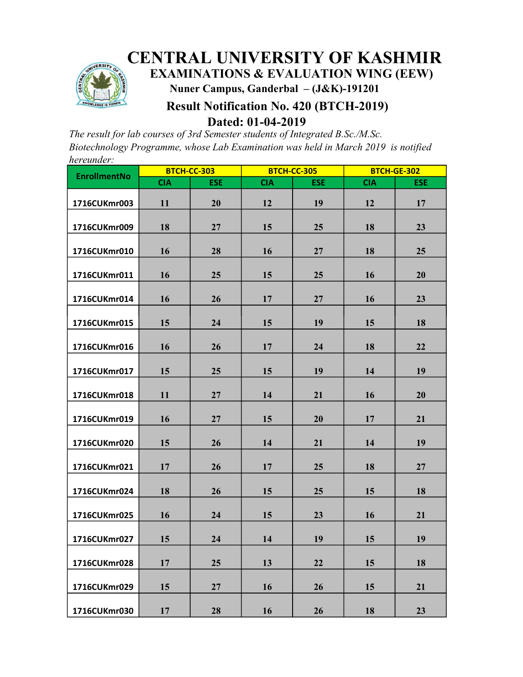

# CENTRAL UNIVERSITY OF KASHMIR

EXAMINATIONS & EVALUATION WING (EEW)

Nuner Campus, Ganderbal – (J&K)-191201

# Result Notification No. 420 (BTCH-2019)

Dated: 01-04-2019

The result for lab courses of 3rd Semester students of Integrated B.Sc./M.Sc. Biotechnology Programme, whose Lab Examination was held in March 2019 is notified hereunder:

| <b>EnrollmentNo</b> | <b>BTCH-CC-303</b> |            | <b>BTCH-CC-305</b> |            | <b>BTCH-GE-302</b> |            |
|---------------------|--------------------|------------|--------------------|------------|--------------------|------------|
|                     | <b>CIA</b>         | <b>ESE</b> | <b>CIA</b>         | <b>ESE</b> | <b>CIA</b>         | <b>ESE</b> |
| 1716CUKmr003        | 11                 | 20         | 12                 | 19         | 12                 | 17         |
| 1716CUKmr009        | 18                 | 27         | 15                 | 25         | 18                 | 23         |
| 1716CUKmr010        | 16                 | 28         | 16                 | 27         | 18                 | 25         |
| 1716CUKmr011        | 16                 | 25         | 15                 | 25         | 16                 | 20         |
| 1716CUKmr014        | 16                 | 26         | 17                 | 27         | 16                 | 23         |
| 1716CUKmr015        | 15                 | 24         | 15                 | 19         | 15                 | 18         |
| 1716CUKmr016        | 16                 | 26         | 17                 | 24         | 18                 | 22         |
| 1716CUKmr017        | 15                 | 25         | 15                 | 19         | 14                 | 19         |
| 1716CUKmr018        | 11                 | 27         | 14                 | 21         | 16                 | 20         |
| 1716CUKmr019        | 16                 | 27         | 15                 | 20         | 17                 | 21         |
| 1716CUKmr020        | 15                 | 26         | 14                 | 21         | 14                 | 19         |
| 1716CUKmr021        | 17                 | 26         | 17                 | 25         | 18                 | 27         |
| 1716CUKmr024        | 18                 | 26         | 15                 | 25         | 15                 | 18         |
| 1716CUKmr025        | 16                 | 24         | 15                 | 23         | 16                 | 21         |
| 1716CUKmr027        | 15                 | 24         | 14                 | 19         | 15                 | 19         |
| 1716CUKmr028        | 17                 | 25         | 13                 | 22         | 15                 | 18         |
| 1716CUKmr029        | 15                 | 27         | 16                 | 26         | 15                 | 21         |
| 1716CUKmr030        | 17                 | 28         | 16                 | 26         | 18                 | 23         |